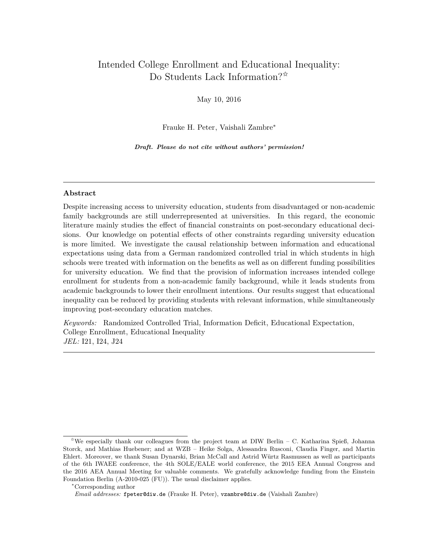# Intended College Enrollment and Educational Inequality: Do Students Lack Information?<sup>☆</sup>

May 10, 2016

Frauke H. Peter, Vaishali Zambre<sup>∗</sup>

*Draft. Please do not cite without authors' permission!*

## **Abstract**

Despite increasing access to university education, students from disadvantaged or non-academic family backgrounds are still underrepresented at universities. In this regard, the economic literature mainly studies the effect of financial constraints on post-secondary educational decisions. Our knowledge on potential effects of other constraints regarding university education is more limited. We investigate the causal relationship between information and educational expectations using data from a German randomized controlled trial in which students in high schools were treated with information on the benefits as well as on different funding possibilities for university education. We find that the provision of information increases intended college enrollment for students from a non-academic family background, while it leads students from academic backgrounds to lower their enrollment intentions. Our results suggest that educational inequality can be reduced by providing students with relevant information, while simultaneously improving post-secondary education matches.

*Keywords:* Randomized Controlled Trial, Information Deficit, Educational Expectation, College Enrollment, Educational Inequality *JEL:* I21, I24, J24

 $\hat{\mathbb{X}}$ We especially thank our colleagues from the project team at DIW Berlin – C. Katharina Spieß, Johanna Storck, and Mathias Huebener; and at WZB – Heike Solga, Alessandra Rusconi, Claudia Finger, and Martin Ehlert. Moreover, we thank Susan Dynarski, Brian McCall and Astrid Würtz Rasmussen as well as participants of the 6th IWAEE conference, the 4th SOLE/EALE world conference, the 2015 EEA Annual Congress and the 2016 AEA Annual Meeting for valuable comments. We gratefully acknowledge funding from the Einstein Foundation Berlin (A-2010-025 (FU)). The usual disclaimer applies.

<sup>∗</sup>Corresponding author

*Email addresses:* fpeter@diw.de (Frauke H. Peter), vzambre@diw.de (Vaishali Zambre)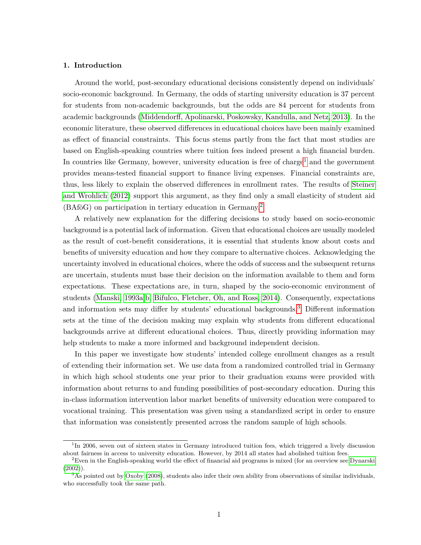#### **1. Introduction**

Around the world, post-secondary educational decisions consistently depend on individuals' socio-economic background. In Germany, the odds of starting university education is 37 percent for students from non-academic backgrounds, but the odds are 84 percent for students from academic backgrounds [\(Middendorff, Apolinarski, Poskowsky, Kandulla, and Netz, 2013\)](#page-21-0). In the economic literature, these observed differences in educational choices have been mainly examined as effect of financial constraints. This focus stems partly from the fact that most studies are based on English-speaking countries where tuition fees indeed present a high financial burden. In countries like Germany, however, university education is free of charge<sup>[1](#page-1-0)</sup> and the government provides means-tested financial support to finance living expenses. Financial constraints are, thus, less likely to explain the observed differences in enrollment rates. The results of [Steiner](#page-22-0) [and Wrohlich](#page-22-0) [\(2012\)](#page-22-0) support this argument, as they find only a small elasticity of student aid (BAföG) on participation in tertiary education in Germany.[2](#page-1-1)

A relatively new explanation for the differing decisions to study based on socio-economic background is a potential lack of information. Given that educational choices are usually modeled as the result of cost-benefit considerations, it is essential that students know about costs and benefits of university education and how they compare to alternative choices. Acknowledging the uncertainty involved in educational choices, where the odds of success and the subsequent returns are uncertain, students must base their decision on the information available to them and form expectations. These expectations are, in turn, shaped by the socio-economic environment of students [\(Manski, 1993a](#page-21-1)[,b;](#page-21-2) [Bifulco, Fletcher, Oh, and Ross, 2014\)](#page-20-0). Consequently, expectations and information sets may differ by students' educational backgrounds.<sup>[3](#page-1-2)</sup> Different information sets at the time of the decision making may explain why students from different educational backgrounds arrive at different educational choices. Thus, directly providing information may help students to make a more informed and background independent decision.

In this paper we investigate how students' intended college enrollment changes as a result of extending their information set. We use data from a randomized controlled trial in Germany in which high school students one year prior to their graduation exams were provided with information about returns to and funding possibilities of post-secondary education. During this in-class information intervention labor market benefits of university education were compared to vocational training. This presentation was given using a standardized script in order to ensure that information was consistently presented across the random sample of high schools.

<span id="page-1-0"></span><sup>&</sup>lt;sup>1</sup>In 2006, seven out of sixteen states in Germany introduced tuition fees, which triggered a lively discussion about fairness in access to university education. However, by 2014 all states had abolished tuition fees.

<span id="page-1-1"></span> ${}^{2}$ Even in the English-speaking world the effect of financial aid programs is mixed (for an overview see [Dynarski](#page-20-1)  $(2002)$ ).

<span id="page-1-2"></span> $3<sup>3</sup>$ As pointed out by [Oxoby](#page-22-1) [\(2008\)](#page-22-1), students also infer their own ability from observations of similar individuals, who successfully took the same path.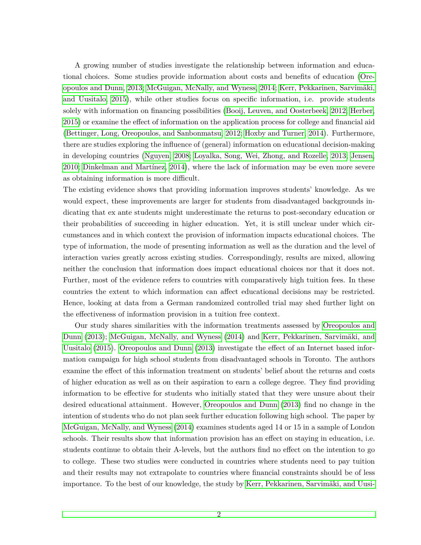A growing number of studies investigate the relationship between information and educational choices. Some studies provide information about costs and benefits of education [\(Ore](#page-22-2)[opoulos and Dunn, 2013;](#page-22-2) [McGuigan, McNally, and Wyness, 2014;](#page-21-3) [Kerr, Pekkarinen, Sarvimäki,](#page-21-4) [and Uusitalo, 2015\)](#page-21-4), while other studies focus on specific information, i.e. provide students solely with information on financing possibilities [\(Booij, Leuven, and Oosterbeek, 2012;](#page-20-2) [Herber,](#page-21-5) [2015\)](#page-21-5) or examine the effect of information on the application process for college and financial aid [\(Bettinger, Long, Oreopoulos, and Sanbonmatsu, 2012;](#page-20-3) [Hoxby and Turner, 2014\)](#page-21-6). Furthermore, there are studies exploring the influence of (general) information on educational decision-making in developing countries [\(Nguyen, 2008;](#page-22-3) [Loyalka, Song, Wei, Zhong, and Rozelle, 2013;](#page-21-7) [Jensen,](#page-21-8) [2010;](#page-21-8) [Dinkelman and Martínez, 2014\)](#page-20-4), where the lack of information may be even more severe as obtaining information is more difficult.

The existing evidence shows that providing information improves students' knowledge. As we would expect, these improvements are larger for students from disadvantaged backgrounds indicating that ex ante students might underestimate the returns to post-secondary education or their probabilities of succeeding in higher education. Yet, it is still unclear under which circumstances and in which context the provision of information impacts educational choices. The type of information, the mode of presenting information as well as the duration and the level of interaction varies greatly across existing studies. Correspondingly, results are mixed, allowing neither the conclusion that information does impact educational choices nor that it does not. Further, most of the evidence refers to countries with comparatively high tuition fees. In these countries the extent to which information can affect educational decisions may be restricted. Hence, looking at data from a German randomized controlled trial may shed further light on the effectiveness of information provision in a tuition free context.

Our study shares similarities with the information treatments assessed by [Oreopoulos and](#page-22-2) [Dunn](#page-22-2) [\(2013\)](#page-22-2); [McGuigan, McNally, and Wyness](#page-21-3) [\(2014\)](#page-21-3) and [Kerr, Pekkarinen, Sarvimäki, and](#page-21-4) [Uusitalo](#page-21-4) [\(2015\)](#page-21-4). [Oreopoulos and Dunn](#page-22-2) [\(2013\)](#page-22-2) investigate the effect of an Internet based information campaign for high school students from disadvantaged schools in Toronto. The authors examine the effect of this information treatment on students' belief about the returns and costs of higher education as well as on their aspiration to earn a college degree. They find providing information to be effective for students who initially stated that they were unsure about their desired educational attainment. However, [Oreopoulos and Dunn](#page-22-2) [\(2013\)](#page-22-2) find no change in the intention of students who do not plan seek further education following high school. The paper by [McGuigan, McNally, and Wyness](#page-21-3) [\(2014\)](#page-21-3) examines students aged 14 or 15 in a sample of London schools. Their results show that information provision has an effect on staying in education, i.e. students continue to obtain their A-levels, but the authors find no effect on the intention to go to college. These two studies were conducted in countries where students need to pay tuition and their results may not extrapolate to countries where financial constraints should be of less importance. To the best of our knowledge, the study by [Kerr, Pekkarinen, Sarvimäki, and Uusi-](#page-21-4)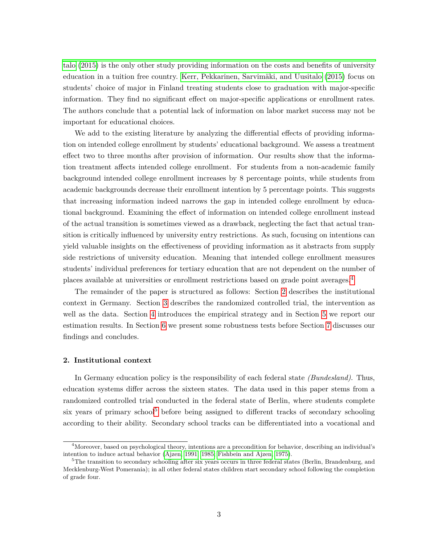[talo](#page-21-4) [\(2015\)](#page-21-4) is the only other study providing information on the costs and benefits of university education in a tuition free country. [Kerr, Pekkarinen, Sarvimäki, and Uusitalo](#page-21-4) [\(2015\)](#page-21-4) focus on students' choice of major in Finland treating students close to graduation with major-specific information. They find no significant effect on major-specific applications or enrollment rates. The authors conclude that a potential lack of information on labor market success may not be important for educational choices.

We add to the existing literature by analyzing the differential effects of providing information on intended college enrollment by students' educational background. We assess a treatment effect two to three months after provision of information. Our results show that the information treatment affects intended college enrollment. For students from a non-academic family background intended college enrollment increases by 8 percentage points, while students from academic backgrounds decrease their enrollment intention by 5 percentage points. This suggests that increasing information indeed narrows the gap in intended college enrollment by educational background. Examining the effect of information on intended college enrollment instead of the actual transition is sometimes viewed as a drawback, neglecting the fact that actual transition is critically influenced by university entry restrictions. As such, focusing on intentions can yield valuable insights on the effectiveness of providing information as it abstracts from supply side restrictions of university education. Meaning that intended college enrollment measures students' individual preferences for tertiary education that are not dependent on the number of places available at universities or enrollment restrictions based on grade point averages.[4](#page-3-0)

The remainder of the paper is structured as follows: Section [2](#page-3-1) describes the institutional context in Germany. Section [3](#page-5-0) describes the randomized controlled trial, the intervention as well as the data. Section [4](#page-9-0) introduces the empirical strategy and in Section [5](#page-11-0) we report our estimation results. In Section [6](#page-15-0) we present some robustness tests before Section [7](#page-18-0) discusses our findings and concludes.

## <span id="page-3-1"></span>**2. Institutional context**

In Germany education policy is the responsibility of each federal state *(Bundesland)*. Thus, education systems differ across the sixteen states. The data used in this paper stems from a randomized controlled trial conducted in the federal state of Berlin, where students complete six years of primary school<sup>[5](#page-3-2)</sup> before being assigned to different tracks of secondary schooling according to their ability. Secondary school tracks can be differentiated into a vocational and

<span id="page-3-0"></span><sup>&</sup>lt;sup>4</sup>Moreover, based on psychological theory, intentions are a precondition for behavior, describing an individual's intention to induce actual behavior [\(Ajzen, 1991,](#page-20-5) [1985;](#page-20-6) [Fishbein and Ajzen, 1975\)](#page-20-7).

<span id="page-3-2"></span> ${}^{5}$ The transition to secondary schooling after six years occurs in three federal states (Berlin, Brandenburg, and Mecklenburg-West Pomerania); in all other federal states children start secondary school following the completion of grade four.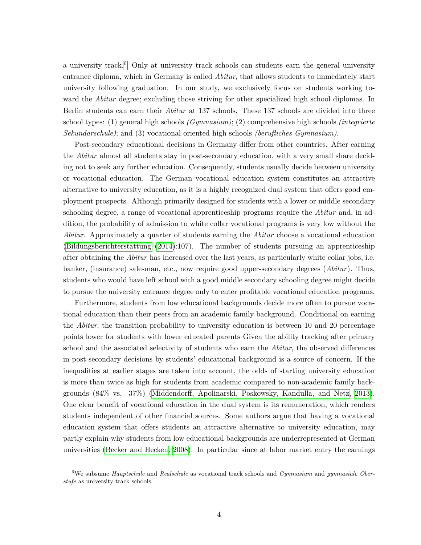a university track.<sup>[6](#page-4-0)</sup> Only at university track schools can students earn the general university entrance diploma, which in Germany is called *Abitur*, that allows students to immediately start university following graduation. In our study, we exclusively focus on students working toward the *Abitur* degree; excluding those striving for other specialized high school diplomas. In Berlin students can earn their *Abitur* at 137 schools. These 137 schools are divided into three school types: (1) general high schools *(Gymnasium)*; (2) comprehensive high schools *(integrierte Sekundarschule)*; and (3) vocational oriented high schools *(berufliches Gymnasium)*.

Post-secondary educational decisions in Germany differ from other countries. After earning the *Abitur* almost all students stay in post-secondary education, with a very small share deciding not to seek any further education. Consequently, students usually decide between university or vocational education. The German vocational education system constitutes an attractive alternative to university education, as it is a highly recognized dual system that offers good employment prospects. Although primarily designed for students with a lower or middle secondary schooling degree, a range of vocational apprenticeship programs require the *Abitur* and, in addition, the probability of admission to white collar vocational programs is very low without the *Abitur*. Approximately a quarter of students earning the *Abitur* choose a vocational education [\(Bildungsberichterstattung](#page-20-8) [\(2014\)](#page-20-8):107). The number of students pursuing an apprenticeship after obtaining the *Abitur* has increased over the last years, as particularly white collar jobs, i.e. banker, (insurance) salesman, etc., now require good upper-secondary degrees (*Abitur*). Thus, students who would have left school with a good middle secondary schooling degree might decide to pursue the university entrance degree only to enter profitable vocational education programs.

Furthermore, students from low educational backgrounds decide more often to pursue vocational education than their peers from an academic family background. Conditional on earning the *Abitur*, the transition probability to university education is between 10 and 20 percentage points lower for students with lower educated parents Given the ability tracking after primary school and the associated selectivity of students who earn the *Abitur*, the observed differences in post-secondary decisions by students' educational background is a source of concern. If the inequalities at earlier stages are taken into account, the odds of starting university education is more than twice as high for students from academic compared to non-academic family backgrounds (84% vs. 37%) [\(Middendorff, Apolinarski, Poskowsky, Kandulla, and Netz, 2013\)](#page-21-0). One clear benefit of vocational education in the dual system is its remuneration, which renders students independent of other financial sources. Some authors argue that having a vocational education system that offers students an attractive alternative to university education, may partly explain why students from low educational backgrounds are underrepresented at German universities [\(Becker and Hecken, 2008\)](#page-20-9). In particular since at labor market entry the earnings

<span id="page-4-0"></span><sup>6</sup>We subsume *Hauptschule* and *Realschule* as vocational track schools and *Gymnasium* and *gymnasiale Oberstufe* as university track schools.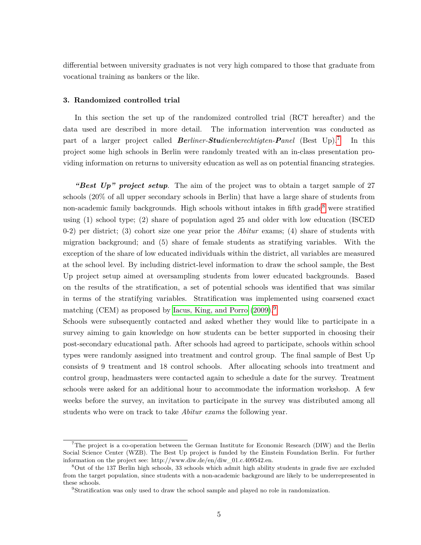differential between university graduates is not very high compared to those that graduate from vocational training as bankers or the like.

## <span id="page-5-0"></span>**3. Randomized controlled trial**

In this section the set up of the randomized controlled trial (RCT hereafter) and the data used are described in more detail. The information intervention was conducted as part of a larger project called *Berliner-Studienberechtigten-Panel* (Best Up).[7](#page-5-1) In this project some high schools in Berlin were randomly treated with an in-class presentation providing information on returns to university education as well as on potential financing strategies.

*"Best Up" project setup*. The aim of the project was to obtain a target sample of 27 schools (20% of all upper secondary schools in Berlin) that have a large share of students from non-academic family backgrounds. High schools without intakes in fifth grade<sup>[8](#page-5-2)</sup> were stratified using (1) school type; (2) share of population aged 25 and older with low education (ISCED 0-2) per district; (3) cohort size one year prior the *Abitur* exams; (4) share of students with migration background; and (5) share of female students as stratifying variables. With the exception of the share of low educated individuals within the district, all variables are measured at the school level. By including district-level information to draw the school sample, the Best Up project setup aimed at oversampling students from lower educated backgrounds. Based on the results of the stratification, a set of potential schools was identified that was similar in terms of the stratifying variables. Stratification was implemented using coarsened exact matching (CEM) as proposed by [Iacus, King, and Porro](#page-21-9) [\(2009\)](#page-21-9).<sup>[9](#page-5-3)</sup>

Schools were subsequently contacted and asked whether they would like to participate in a survey aiming to gain knowledge on how students can be better supported in choosing their post-secondary educational path. After schools had agreed to participate, schools within school types were randomly assigned into treatment and control group. The final sample of Best Up consists of 9 treatment and 18 control schools. After allocating schools into treatment and control group, headmasters were contacted again to schedule a date for the survey. Treatment schools were asked for an additional hour to accommodate the information workshop. A few weeks before the survey, an invitation to participate in the survey was distributed among all students who were on track to take *Abitur exams* the following year.

<span id="page-5-1"></span><sup>&</sup>lt;sup>7</sup>The project is a co-operation between the German Institute for Economic Research (DIW) and the Berlin Social Science Center (WZB). The Best Up project is funded by the Einstein Foundation Berlin. For further information on the project see: http://www.diw.de/en/diw\_01.c.409542.en.

<span id="page-5-2"></span><sup>8</sup>Out of the 137 Berlin high schools, 33 schools which admit high ability students in grade five are excluded from the target population, since students with a non-academic background are likely to be underrepresented in these schools.

<span id="page-5-3"></span><sup>&</sup>lt;sup>9</sup>Stratification was only used to draw the school sample and played no role in randomization.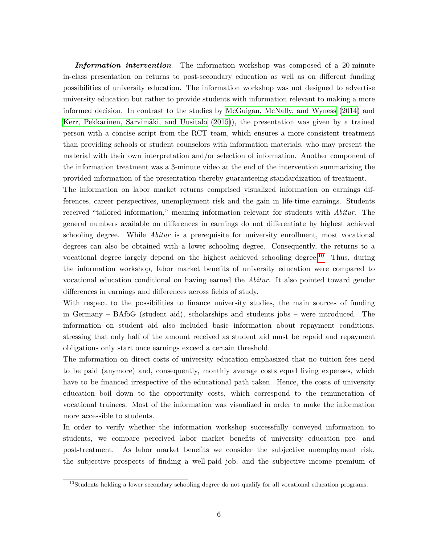*Information intervention*. The information workshop was composed of a 20-minute in-class presentation on returns to post-secondary education as well as on different funding possibilities of university education. The information workshop was not designed to advertise university education but rather to provide students with information relevant to making a more informed decision. In contrast to the studies by [McGuigan, McNally, and Wyness](#page-21-3) [\(2014\)](#page-21-3) and [Kerr, Pekkarinen, Sarvimäki, and Uusitalo](#page-21-4) [\(2015\)](#page-21-4)), the presentation was given by a trained person with a concise script from the RCT team, which ensures a more consistent treatment than providing schools or student counselors with information materials, who may present the material with their own interpretation and/or selection of information. Another component of the information treatment was a 3-minute video at the end of the intervention summarizing the provided information of the presentation thereby guaranteeing standardization of treatment.

The information on labor market returns comprised visualized information on earnings differences, career perspectives, unemployment risk and the gain in life-time earnings. Students received "tailored information," meaning information relevant for students with *Abitur*. The general numbers available on differences in earnings do not differentiate by highest achieved schooling degree. While *Abitur* is a prerequisite for university enrollment, most vocational degrees can also be obtained with a lower schooling degree. Consequently, the returns to a vocational degree largely depend on the highest achieved schooling degree.<sup>[10](#page-6-0)</sup> Thus, during the information workshop, labor market benefits of university education were compared to vocational education conditional on having earned the *Abitur*. It also pointed toward gender differences in earnings and differences across fields of study.

With respect to the possibilities to finance university studies, the main sources of funding in Germany – BAföG (student aid), scholarships and students jobs – were introduced. The information on student aid also included basic information about repayment conditions, stressing that only half of the amount received as student aid must be repaid and repayment obligations only start once earnings exceed a certain threshold.

The information on direct costs of university education emphasized that no tuition fees need to be paid (anymore) and, consequently, monthly average costs equal living expenses, which have to be financed irrespective of the educational path taken. Hence, the costs of university education boil down to the opportunity costs, which correspond to the remuneration of vocational trainees. Most of the information was visualized in order to make the information more accessible to students.

In order to verify whether the information workshop successfully conveyed information to students, we compare perceived labor market benefits of university education pre- and post-treatment. As labor market benefits we consider the subjective unemployment risk, the subjective prospects of finding a well-paid job, and the subjective income premium of

<span id="page-6-0"></span><sup>&</sup>lt;sup>10</sup>Students holding a lower secondary schooling degree do not qualify for all vocational education programs.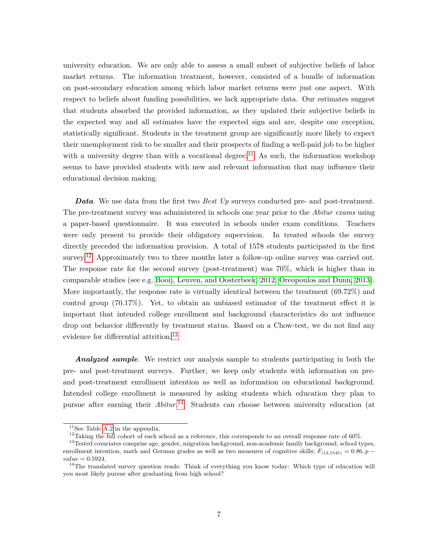university education. We are only able to assess a small subset of subjective beliefs of labor market returns. The information treatment, however, consisted of a bundle of information on post-secondary education among which labor market returns were just one aspect. With respect to beliefs about funding possibilities, we lack appropriate data. Our estimates suggest that students absorbed the provided information, as they updated their subjective beliefs in the expected way and all estimates have the expected sign and are, despite one exception, statistically significant. Students in the treatment group are significantly more likely to expect their unemployment risk to be smaller and their prospects of finding a well-paid job to be higher with a university degree than with a vocational degree.<sup>[11](#page-7-0)</sup> As such, the information workshop seems to have provided students with new and relevant information that may influence their educational decision making.

*Data*. We use data from the first two *Best Up* surveys conducted pre- and post-treatment. The pre-treatment survey was administered in schools one year prior to the *Abitur exams* using a paper-based questionnaire. It was executed in schools under exam conditions. Teachers were only present to provide their obligatory supervision. In treated schools the survey directly preceded the information provision. A total of 1578 students participated in the first survey.<sup>[12](#page-7-1)</sup> Approximately two to three months later a follow-up online survey was carried out. The response rate for the second survey (post-treatment) was 70%, which is higher than in comparable studies (see e.g. [Booij, Leuven, and Oosterbeek, 2012;](#page-20-2) [Oreopoulos and Dunn, 2013\)](#page-22-2). More importantly, the response rate is virtually identical between the treatment (69.72%) and control group (70.17%). Yet, to obtain an unbiased estimator of the treatment effect it is important that intended college enrollment and background characteristics do not influence drop out behavior differently by treatment status. Based on a Chow-test, we do not find any evidence for differential attrition.<sup>[13](#page-7-2)</sup>

*Analyzed sample*. We restrict our analysis sample to students participating in both the pre- and post-treatment surveys. Further, we keep only students with information on preand post-treatment enrollment intention as well as information on educational background. Intended college enrollment is measured by asking students which education they plan to pursue after earning their *Abitur*. [14](#page-7-3) Students can choose between university education (at

<span id="page-7-0"></span> $11$ See Table [A.2](#page-23-0) in the appendix.

<span id="page-7-2"></span><span id="page-7-1"></span><sup>&</sup>lt;sup>12</sup>Taking the full cohort of each school as a reference, this corresponds to an overall response rate of 60%.

<sup>&</sup>lt;sup>13</sup>Tested covariates comprise age, gender, migration background, non-academic family background, school types, enrollment intention, math and German grades as well as two measures of cognitive skills;  $F_{(12,1545)} = 0.86, p$ *value* = 0*.*5924*.*

<span id="page-7-3"></span> $14$ The translated survey question reads: Think of everything you know today: Which type of education will you most likely pursue after graduating from high school?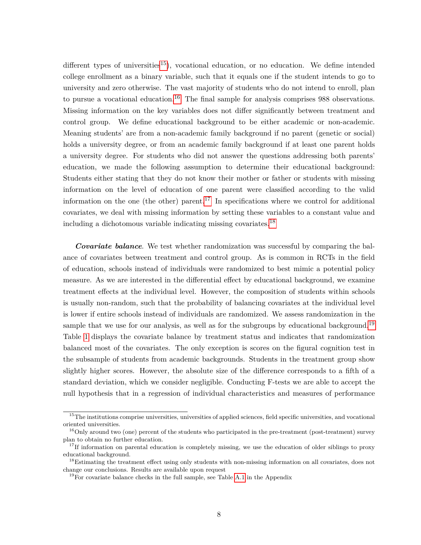different types of universities<sup>[15](#page-8-0)</sup>), vocational education, or no education. We define intended college enrollment as a binary variable, such that it equals one if the student intends to go to university and zero otherwise. The vast majority of students who do not intend to enroll, plan to pursue a vocational education.<sup>[16](#page-8-1)</sup> The final sample for analysis comprises 988 observations. Missing information on the key variables does not differ significantly between treatment and control group. We define educational background to be either academic or non-academic. Meaning students' are from a non-academic family background if no parent (genetic or social) holds a university degree, or from an academic family background if at least one parent holds a university degree. For students who did not answer the questions addressing both parents' education, we made the following assumption to determine their educational background: Students either stating that they do not know their mother or father or students with missing information on the level of education of one parent were classified according to the valid information on the one (the other) parent.<sup>[17](#page-8-2)</sup> In specifications where we control for additional covariates, we deal with missing information by setting these variables to a constant value and including a dichotomous variable indicating missing covariates.[18](#page-8-3)

*Covariate balance*. We test whether randomization was successful by comparing the balance of covariates between treatment and control group. As is common in RCTs in the field of education, schools instead of individuals were randomized to best mimic a potential policy measure. As we are interested in the differential effect by educational background, we examine treatment effects at the individual level. However, the composition of students within schools is usually non-random, such that the probability of balancing covariates at the individual level is lower if entire schools instead of individuals are randomized. We assess randomization in the sample that we use for our analysis, as well as for the subgroups by educational background.<sup>[19](#page-8-4)</sup> Table [1](#page-9-1) displays the covariate balance by treatment status and indicates that randomization balanced most of the covariates. The only exception is scores on the figural cognition test in the subsample of students from academic backgrounds. Students in the treatment group show slightly higher scores. However, the absolute size of the difference corresponds to a fifth of a standard deviation, which we consider negligible. Conducting F-tests we are able to accept the null hypothesis that in a regression of individual characteristics and measures of performance

<span id="page-8-0"></span> $15$ The institutions comprise universities, universities of applied sciences, field specific universities, and vocational oriented universities.

<span id="page-8-1"></span><sup>&</sup>lt;sup>16</sup>Only around two (one) percent of the students who participated in the pre-treatment (post-treatment) survey plan to obtain no further education.

<span id="page-8-2"></span><sup>&</sup>lt;sup>17</sup>If information on parental education is completely missing, we use the education of older siblings to proxy educational background.

<span id="page-8-3"></span><sup>&</sup>lt;sup>18</sup>Estimating the treatment effect using only students with non-missing information on all covariates, does not change our conclusions. Results are available upon request

<span id="page-8-4"></span> $19$ For covariate balance checks in the full sample, see Table [A.1](#page-23-1) in the Appendix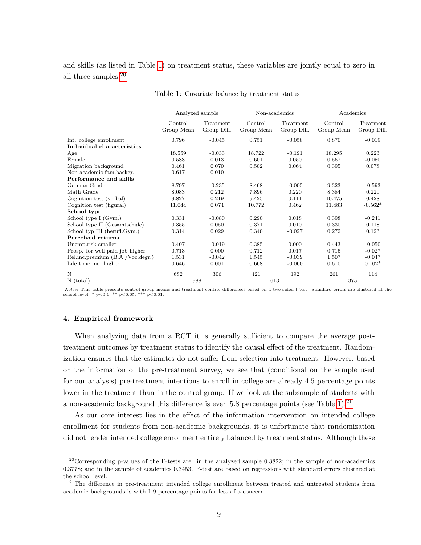and skills (as listed in Table [1\)](#page-9-1) on treatment status, these variables are jointly equal to zero in all three samples.[20](#page-9-2)

<span id="page-9-1"></span>

|                                  | Analyzed sample       |                          | Non-academics         |                          | Academics             |                          |
|----------------------------------|-----------------------|--------------------------|-----------------------|--------------------------|-----------------------|--------------------------|
|                                  | Control<br>Group Mean | Treatment<br>Group Diff. | Control<br>Group Mean | Treatment<br>Group Diff. | Control<br>Group Mean | Treatment<br>Group Diff. |
| Int. college enrollment          | 0.796                 | $-0.045$                 | 0.751                 | $-0.058$                 | 0.870                 | $-0.019$                 |
| Individual characteristics       |                       |                          |                       |                          |                       |                          |
| Age                              | 18.559                | $-0.033$                 | 18.722                | $-0.191$                 | 18.295                | 0.223                    |
| Female                           | 0.588                 | 0.013                    | 0.601                 | 0.050                    | 0.567                 | $-0.050$                 |
| Migration background             | 0.461                 | 0.070                    | 0.502                 | 0.064                    | 0.395                 | 0.078                    |
| Non-academic fam.backgr.         | 0.617                 | 0.010                    |                       |                          |                       |                          |
| Performance and skills           |                       |                          |                       |                          |                       |                          |
| German Grade                     | 8.797                 | $-0.235$                 | 8.468                 | $-0.005$                 | 9.323                 | $-0.593$                 |
| Math Grade                       | 8.083                 | 0.212                    | 7.896                 | 0.220                    | 8.384                 | 0.220                    |
| Cognition test (verbal)          | 9.827                 | 0.219                    | 9.425                 | 0.111                    | 10.475                | 0.428                    |
| Cognition test (figural)         | 11.044                | 0.074                    | 10.772                | 0.462                    | 11.483                | $-0.562*$                |
| School type                      |                       |                          |                       |                          |                       |                          |
| School type I (Gym.)             | 0.331                 | $-0.080$                 | 0.290                 | 0.018                    | 0.398                 | $-0.241$                 |
| School type II (Gesamtschule)    | 0.355                 | 0.050                    | 0.371                 | 0.010                    | 0.330                 | 0.118                    |
| School typ III (berufl.Gym.)     | 0.314                 | 0.029                    | 0.340                 | $-0.027$                 | 0.272                 | 0.123                    |
| Perceived returns                |                       |                          |                       |                          |                       |                          |
| Unemp.risk smaller               | 0.407                 | $-0.019$                 | 0.385                 | 0.000                    | 0.443                 | $-0.050$                 |
| Prosp. for well paid job higher  | 0.713                 | 0.000                    | 0.712                 | 0.017                    | 0.715                 | $-0.027$                 |
| Rel.inc.premium (B.A./Voc.degr.) | 1.531                 | $-0.042$                 | 1.545                 | $-0.039$                 | 1.507                 | $-0.047$                 |
| Life time inc. higher            | 0.646                 | 0.001                    | 0.668                 | $-0.060$                 | 0.610                 | $0.102*$                 |
| N                                | 682                   | 306                      | 421                   | 192                      | 261                   | 114                      |
| $N$ (total)                      | 988                   |                          | 613                   |                          | 375                   |                          |

Table 1: Covariate balance by treatment status

*Notes:* This table presents control group means and treatment-control differences based on a two-sided t-test. Standard errors are clustered at the school level. \* *p*<0.1, \*\* *p*<0.05, \*\*\* *p*<0.01.

## <span id="page-9-0"></span>**4. Empirical framework**

When analyzing data from a RCT it is generally sufficient to compare the average posttreatment outcomes by treatment status to identify the causal effect of the treatment. Randomization ensures that the estimates do not suffer from selection into treatment. However, based on the information of the pre-treatment survey, we see that (conditional on the sample used for our analysis) pre-treatment intentions to enroll in college are already 4.5 percentage points lower in the treatment than in the control group. If we look at the subsample of students with a non-academic background this difference is even  $5.8$  percentage points (see Table [1\)](#page-9-1).<sup>[21](#page-9-3)</sup>

As our core interest lies in the effect of the information intervention on intended college enrollment for students from non-academic backgrounds, it is unfortunate that randomization did not render intended college enrollment entirely balanced by treatment status. Although these

<span id="page-9-2"></span> $20$ Corresponding p-values of the F-tests are: in the analyzed sample 0.3822; in the sample of non-academics 0.3778; and in the sample of academics 0.3453. F-test are based on regressions with standard errors clustered at the school level.

<span id="page-9-3"></span><sup>&</sup>lt;sup>21</sup>The difference in pre-treatment intended college enrollment between treated and untreated students from academic backgrounds is with 1.9 percentage points far less of a concern.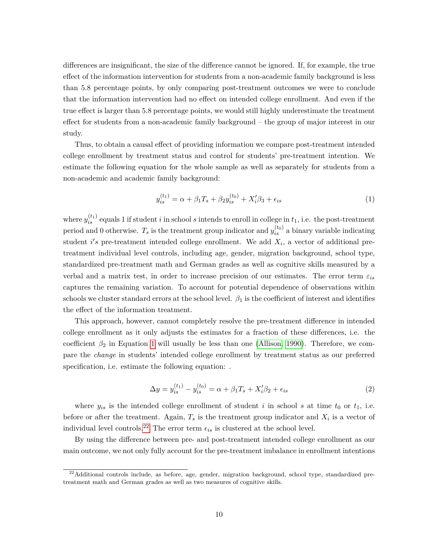differences are insignificant, the size of the difference cannot be ignored. If, for example, the true effect of the information intervention for students from a non-academic family background is less than 5.8 percentage points, by only comparing post-treatment outcomes we were to conclude that the information intervention had no effect on intended college enrollment. And even if the true effect is larger than 5.8 percentage points, we would still highly underestimate the treatment effect for students from a non-academic family background – the group of major interest in our study.

Thus, to obtain a causal effect of providing information we compare post-treatment intended college enrollment by treatment status and control for students' pre-treatment intention. We estimate the following equation for the whole sample as well as separately for students from a non-academic and academic family background:

<span id="page-10-0"></span>
$$
y_{is}^{(t_1)} = \alpha + \beta_1 T_s + \beta_2 y_{is}^{(t_0)} + X_i' \beta_3 + \epsilon_{is}
$$
 (1)

where  $y_{is}^{(t_1)}$  equals 1 if student *i* in school *s* intends to enroll in college in  $t_1$ , i.e. the post-treatment period and 0 otherwise.  $T_s$  is the treatment group indicator and  $y_{is}^{(t_0)}$  a binary variable indicating student  $i's$  pre-treatment intended college enrollment. We add  $X_i$ , a vector of additional pretreatment individual level controls, including age, gender, migration background, school type, standardized pre-treatment math and German grades as well as cognitive skills measured by a verbal and a matrix test, in order to increase precision of our estimates. The error term *εis* captures the remaining variation. To account for potential dependence of observations within schools we cluster standard errors at the school level.  $\beta_1$  is the coefficient of interest and identifies the effect of the information treatment.

This approach, however, cannot completely resolve the pre-treatment difference in intended college enrollment as it only adjusts the estimates for a fraction of these differences, i.e. the coefficient  $\beta_2$  in Equation [1](#page-10-0) will usually be less than one [\(Allison, 1990\)](#page-20-10). Therefore, we compare the *change* in students' intended college enrollment by treatment status as our preferred specification, i.e. estimate the following equation: .

<span id="page-10-2"></span>
$$
\Delta y = y_{is}^{(t_1)} - y_{is}^{(t_0)} = \alpha + \beta_1 T_s + X_i' \beta_2 + \epsilon_{is}
$$
\n(2)

where  $y_{is}$  is the intended college enrollment of student *i* in school *s* at time  $t_0$  or  $t_1$ , i.e. before or after the treatment. Again,  $T_s$  is the treatment group indicator and  $X_i$  is a vector of individual level controls.<sup>[22](#page-10-1)</sup> The error term  $\epsilon_{is}$  is clustered at the school level.

By using the difference between pre- and post-treatment intended college enrollment as our main outcome, we not only fully account for the pre-treatment imbalance in enrollment intentions

<span id="page-10-1"></span> $^{22}$ Additional controls include, as before, age, gender, migration background, school type, standardized pretreatment math and German grades as well as two measures of cognitive skills.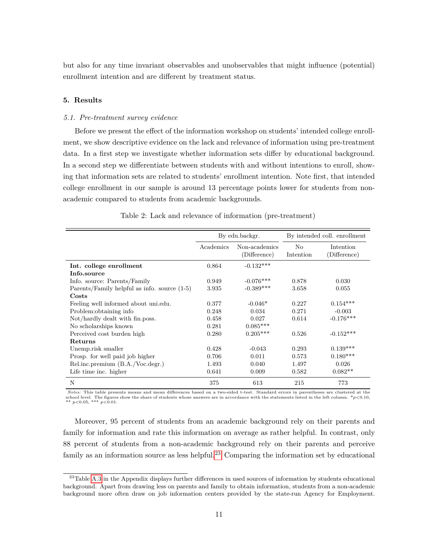but also for any time invariant observables and unobservables that might influence (potential) enrollment intention and are different by treatment status.

## <span id="page-11-0"></span>**5. Results**

#### *5.1. Pre-treatment survey evidence*

Before we present the effect of the information workshop on students' intended college enrollment, we show descriptive evidence on the lack and relevance of information using pre-treatment data. In a first step we investigate whether information sets differ by educational background. In a second step we differentiate between students with and without intentions to enroll, showing that information sets are related to students' enrollment intention. Note first, that intended college enrollment in our sample is around 13 percentage points lower for students from nonacademic compared to students from academic backgrounds.

<span id="page-11-2"></span>

|                                                |           | By edu.backgr.                |                             | By intended coll. enrollment |
|------------------------------------------------|-----------|-------------------------------|-----------------------------|------------------------------|
|                                                | Academics | Non-academics<br>(Difference) | N <sub>o</sub><br>Intention | Intention<br>(Difference)    |
| Int. college enrollment                        | 0.864     | $-0.132***$                   |                             |                              |
| Info.source                                    |           |                               |                             |                              |
| Info. source: Parents/Family                   | 0.949     | $-0.076***$                   | 0.878                       | 0.030                        |
| Parents/Family helpful as info. source $(1-5)$ | 3.935     | $-0.389***$                   | 3.658                       | 0.055                        |
| Costs                                          |           |                               |                             |                              |
| Feeling well informed about unitedu.           | 0.377     | $-0.046*$                     | 0.227                       | $0.154***$                   |
| Problem: obtaining info                        | 0.248     | 0.034                         | 0.271                       | $-0.003$                     |
| Not/hardly dealt with fin.poss.                | 0.458     | 0.027                         | 0.614                       | $-0.176***$                  |
| No scholarships known                          | 0.281     | $0.085***$                    |                             |                              |
| Perceived cost burden high                     | 0.280     | $0.205***$                    | 0.526                       | $-0.152***$                  |
| Returns                                        |           |                               |                             |                              |
| Unemp.risk smaller                             | 0.428     | $-0.043$                      | 0.293                       | $0.139***$                   |
| Prosp. for well paid job higher                | 0.706     | 0.011                         | 0.573                       | $0.180***$                   |
| Rel.inc.premium (B.A./Voc.degr.)               | 1.493     | 0.040                         | 1.497                       | 0.026                        |
| Life time inc. higher                          | 0.641     | 0.009                         | 0.582                       | $0.082**$                    |
| N                                              | 375       | 613                           | 215                         | 773                          |

Table 2: Lack and relevance of information (pre-treatment)

*Notes:* This table presents means and mean differences based on a two-sided t-test. Standard errors in parentheses are clustered at the school level. The figures show the share of students whose answers are in accordance with the statements listed in the left column. \**p*<0.10, \*\* *p*<0.05, \*\*\* *p*<0.01.

Moreover, 95 percent of students from an academic background rely on their parents and family for information and rate this information on average as rather helpful. In contrast, only 88 percent of students from a non-academic background rely on their parents and perceive family as an information source as less helpful.<sup>[23](#page-11-1)</sup> Comparing the information set by educational

<span id="page-11-1"></span><sup>&</sup>lt;sup>23</sup>Table [A.3](#page-24-0) in the Appendix displays further differences in used sources of information by students educational background. Apart from drawing less on parents and family to obtain information, students from a non-academic background more often draw on job information centers provided by the state-run Agency for Employment.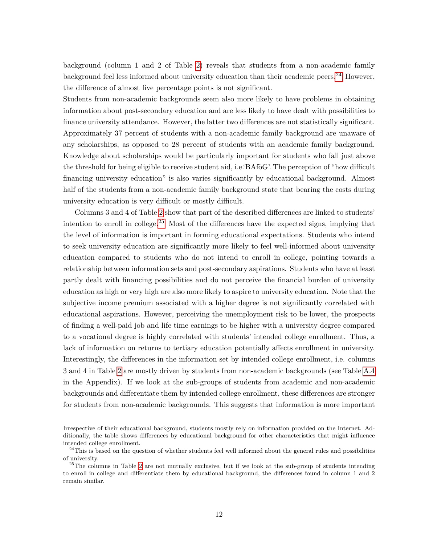background (column 1 and 2 of Table [2\)](#page-11-2) reveals that students from a non-academic family background feel less informed about university education than their academic peers.<sup>[24](#page-12-0)</sup> However, the difference of almost five percentage points is not significant.

Students from non-academic backgrounds seem also more likely to have problems in obtaining information about post-secondary education and are less likely to have dealt with possibilities to finance university attendance. However, the latter two differences are not statistically significant. Approximately 37 percent of students with a non-academic family background are unaware of any scholarships, as opposed to 28 percent of students with an academic family background. Knowledge about scholarships would be particularly important for students who fall just above the threshold for being eligible to receive student aid, i.e.'BAföG'. The perception of "how difficult financing university education" is also varies significantly by educational background. Almost half of the students from a non-academic family background state that bearing the costs during university education is very difficult or mostly difficult.

Columns 3 and 4 of Table [2](#page-11-2) show that part of the described differences are linked to students' intention to enroll in college.[25](#page-12-1) Most of the differences have the expected signs, implying that the level of information is important in forming educational expectations. Students who intend to seek university education are significantly more likely to feel well-informed about university education compared to students who do not intend to enroll in college, pointing towards a relationship between information sets and post-secondary aspirations. Students who have at least partly dealt with financing possibilities and do not perceive the financial burden of university education as high or very high are also more likely to aspire to university education. Note that the subjective income premium associated with a higher degree is not significantly correlated with educational aspirations. However, perceiving the unemployment risk to be lower, the prospects of finding a well-paid job and life time earnings to be higher with a university degree compared to a vocational degree is highly correlated with students' intended college enrollment. Thus, a lack of information on returns to tertiary education potentially affects enrollment in university. Interestingly, the differences in the information set by intended college enrollment, i.e. columns 3 and 4 in Table [2](#page-11-2) are mostly driven by students from non-academic backgrounds (see Table [A.4](#page-25-0) in the Appendix). If we look at the sub-groups of students from academic and non-academic backgrounds and differentiate them by intended college enrollment, these differences are stronger for students from non-academic backgrounds. This suggests that information is more important

Irrespective of their educational background, students mostly rely on information provided on the Internet. Additionally, the table shows differences by educational background for other characteristics that might influence intended college enrollment.

<span id="page-12-0"></span> $^{24}$ This is based on the question of whether students feel well informed about the general rules and possibilities of university.

<span id="page-12-1"></span> $^{25}$ The columns in Table [2](#page-11-2) are not mutually exclusive, but if we look at the sub-group of students intending to enroll in college and differentiate them by educational background, the differences found in column 1 and 2 remain similar.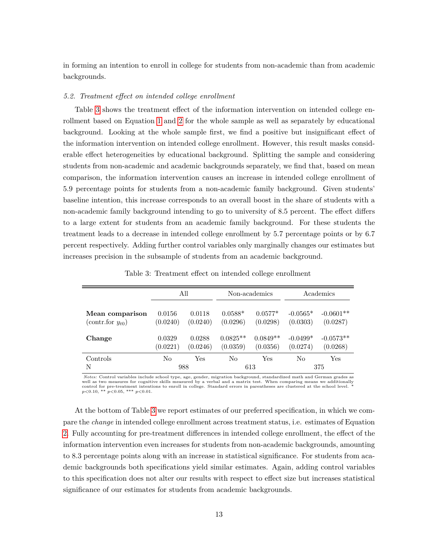in forming an intention to enroll in college for students from non-academic than from academic backgrounds.

#### *5.2. Treatment effect on intended college enrollment*

Table [3](#page-13-0) shows the treatment effect of the information intervention on intended college enrollment based on Equation [1](#page-10-0) and [2](#page-10-2) for the whole sample as well as separately by educational background. Looking at the whole sample first, we find a positive but insignificant effect of the information intervention on intended college enrollment. However, this result masks considerable effect heterogeneities by educational background. Splitting the sample and considering students from non-academic and academic backgrounds separately, we find that, based on mean comparison, the information intervention causes an increase in intended college enrollment of 5.9 percentage points for students from a non-academic family background. Given students' baseline intention, this increase corresponds to an overall boost in the share of students with a non-academic family background intending to go to university of 8.5 percent. The effect differs to a large extent for students from an academic family background. For these students the treatment leads to a decrease in intended college enrollment by 5.7 percentage points or by 6.7 percent respectively. Adding further control variables only marginally changes our estimates but increases precision in the subsample of students from an academic background.

<span id="page-13-0"></span>

|                       |          | All        |            | Non-academics |            | Academics   |
|-----------------------|----------|------------|------------|---------------|------------|-------------|
| Mean comparison       | 0.0156   | 0.0118     | $0.0588*$  | $0.0577*$     | $-0.0565*$ | $-0.0601**$ |
| (contr.for $y_{t0}$ ) | (0.0240) | (0.0240)   | (0.0296)   | (0.0298)      | (0.0303)   | (0.0287)    |
| Change                | 0.0329   | 0.0288     | $0.0825**$ | $0.0849**$    | $-0.0499*$ | $-0.0573**$ |
|                       | (0.0221) | (0.0246)   | (0.0359)   | (0.0356)      | (0.0274)   | (0.0268)    |
| Controls<br>N         | No       | Yes<br>988 | No         | Yes<br>613    | No         | Yes<br>375  |

Table 3: Treatment effect on intended college enrollment

Notes: Control variables include school type, age, gender, migration background, standardized math and German grades as<br>well as two measures for cognitive skills measured by a verbal and a matrix test. When comparing means control for pre-treatment intentions to enroll in college. Standard errors in parentheses are clustered at the school level. \* *p*<0.10, \*\* *p*<0.05, \*\*\* *p*<0.01.

At the bottom of Table [3](#page-13-0) we report estimates of our preferred specification, in which we compare the *change* in intended college enrollment across treatment status, i.e. estimates of Equation [2.](#page-10-2) Fully accounting for pre-treatment differences in intended college enrollment, the effect of the information intervention even increases for students from non-academic backgrounds, amounting to 8.3 percentage points along with an increase in statistical significance. For students from academic backgrounds both specifications yield similar estimates. Again, adding control variables to this specification does not alter our results with respect to effect size but increases statistical significance of our estimates for students from academic backgrounds.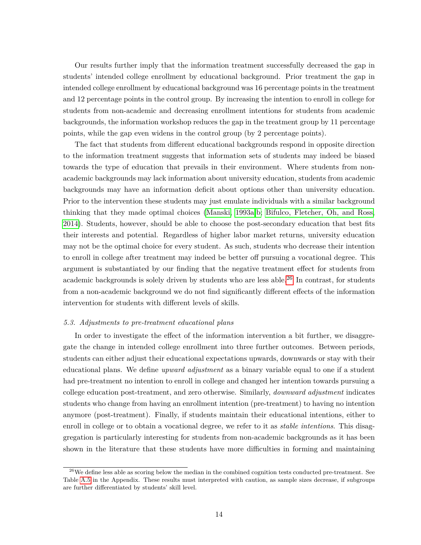Our results further imply that the information treatment successfully decreased the gap in students' intended college enrollment by educational background. Prior treatment the gap in intended college enrollment by educational background was 16 percentage points in the treatment and 12 percentage points in the control group. By increasing the intention to enroll in college for students from non-academic and decreasing enrollment intentions for students from academic backgrounds, the information workshop reduces the gap in the treatment group by 11 percentage points, while the gap even widens in the control group (by 2 percentage points).

The fact that students from different educational backgrounds respond in opposite direction to the information treatment suggests that information sets of students may indeed be biased towards the type of education that prevails in their environment. Where students from nonacademic backgrounds may lack information about university education, students from academic backgrounds may have an information deficit about options other than university education. Prior to the intervention these students may just emulate individuals with a similar background thinking that they made optimal choices [\(Manski, 1993a,](#page-21-1)[b;](#page-21-2) [Bifulco, Fletcher, Oh, and Ross,](#page-20-0) [2014\)](#page-20-0). Students, however, should be able to choose the post-secondary education that best fits their interests and potential. Regardless of higher labor market returns, university education may not be the optimal choice for every student. As such, students who decrease their intention to enroll in college after treatment may indeed be better off pursuing a vocational degree. This argument is substantiated by our finding that the negative treatment effect for students from academic backgrounds is solely driven by students who are less able.<sup>[26](#page-14-0)</sup> In contrast, for students from a non-academic background we do not find significantly different effects of the information intervention for students with different levels of skills.

#### *5.3. Adjustments to pre-treatment educational plans*

In order to investigate the effect of the information intervention a bit further, we disaggregate the change in intended college enrollment into three further outcomes. Between periods, students can either adjust their educational expectations upwards, downwards or stay with their educational plans. We define *upward adjustment* as a binary variable equal to one if a student had pre-treatment no intention to enroll in college and changed her intention towards pursuing a college education post-treatment, and zero otherwise. Similarly, *downward adjustment* indicates students who change from having an enrollment intention (pre-treatment) to having no intention anymore (post-treatment). Finally, if students maintain their educational intentions, either to enroll in college or to obtain a vocational degree, we refer to it as *stable intentions*. This disaggregation is particularly interesting for students from non-academic backgrounds as it has been shown in the literature that these students have more difficulties in forming and maintaining

<span id="page-14-0"></span> $^{26}$ We define less able as scoring below the median in the combined cognition tests conducted pre-treatment. See Table [A.5](#page-25-1) in the Appendix. These results must interpreted with caution, as sample sizes decrease, if subgroups are further differentiated by students' skill level.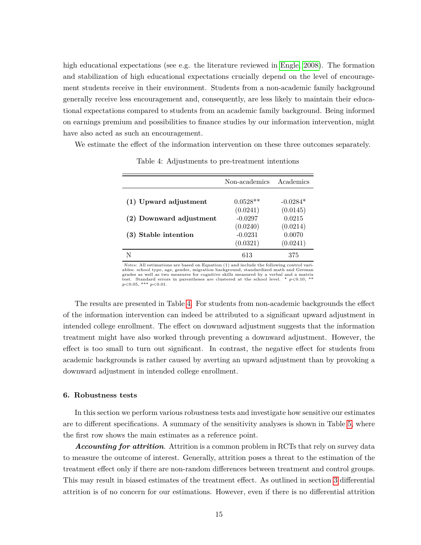high educational expectations (see e.g. the literature reviewed in [Engle, 2008\)](#page-20-11). The formation and stabilization of high educational expectations crucially depend on the level of encouragement students receive in their environment. Students from a non-academic family background generally receive less encouragement and, consequently, are less likely to maintain their educational expectations compared to students from an academic family background. Being informed on earnings premium and possibilities to finance studies by our information intervention, might have also acted as such an encouragement.

<span id="page-15-1"></span>We estimate the effect of the information intervention on these three outcomes separately.

|                         | Non-academics | Academics  |
|-------------------------|---------------|------------|
|                         |               |            |
| (1) Upward adjustment   | $0.0528**$    | $-0.0284*$ |
|                         | (0.0241)      | (0.0145)   |
| (2) Downward adjustment | $-0.0297$     | 0.0215     |
|                         | (0.0240)      | (0.0214)   |
| (3) Stable intention    | $-0.0231$     | 0.0070     |
|                         | (0.0321)      | (0.0241)   |
|                         | 613           | 375        |

Table 4: Adjustments to pre-treatment intentions

*Notes:* All estimations are based on Equation (1) and include the following control variables: school type, age, gender, migration background, standardized math and German grades as well as two measures for cognitive skills measured by a verbal and a matrix test. Standard errors in parentheses are clustered at the school level. \* *p*<0.10, \*\* *p*<0.05, \*\*\* *p*<0.01.

The results are presented in Table [4.](#page-15-1) For students from non-academic backgrounds the effect of the information intervention can indeed be attributed to a significant upward adjustment in intended college enrollment. The effect on downward adjustment suggests that the information treatment might have also worked through preventing a downward adjustment. However, the effect is too small to turn out significant. In contrast, the negative effect for students from academic backgrounds is rather caused by averting an upward adjustment than by provoking a downward adjustment in intended college enrollment.

## <span id="page-15-0"></span>**6. Robustness tests**

In this section we perform various robustness tests and investigate how sensitive our estimates are to different specifications. A summary of the sensitivity analyses is shown in Table [5,](#page-17-0) where the first row shows the main estimates as a reference point.

*Accounting for attrition*. Attrition is a common problem in RCTs that rely on survey data to measure the outcome of interest. Generally, attrition poses a threat to the estimation of the treatment effect only if there are non-random differences between treatment and control groups. This may result in biased estimates of the treatment effect. As outlined in section [3](#page-5-0) differential attrition is of no concern for our estimations. However, even if there is no differential attrition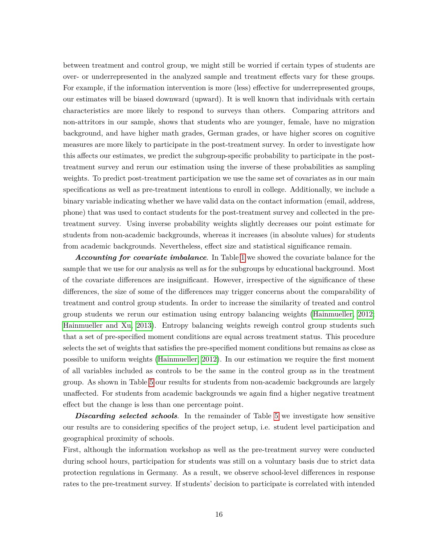between treatment and control group, we might still be worried if certain types of students are over- or underrepresented in the analyzed sample and treatment effects vary for these groups. For example, if the information intervention is more (less) effective for underrepresented groups, our estimates will be biased downward (upward). It is well known that individuals with certain characteristics are more likely to respond to surveys than others. Comparing attritors and non-attritors in our sample, shows that students who are younger, female, have no migration background, and have higher math grades, German grades, or have higher scores on cognitive measures are more likely to participate in the post-treatment survey. In order to investigate how this affects our estimates, we predict the subgroup-specific probability to participate in the posttreatment survey and rerun our estimation using the inverse of these probabilities as sampling weights. To predict post-treatment participation we use the same set of covariates as in our main specifications as well as pre-treatment intentions to enroll in college. Additionally, we include a binary variable indicating whether we have valid data on the contact information (email, address, phone) that was used to contact students for the post-treatment survey and collected in the pretreatment survey. Using inverse probability weights slightly decreases our point estimate for students from non-academic backgrounds, whereas it increases (in absolute values) for students from academic backgrounds. Nevertheless, effect size and statistical significance remain.

*Accounting for covariate imbalance*. In Table [1](#page-9-1) we showed the covariate balance for the sample that we use for our analysis as well as for the subgroups by educational background. Most of the covariate differences are insignificant. However, irrespective of the significance of these differences, the size of some of the differences may trigger concerns about the comparability of treatment and control group students. In order to increase the similarity of treated and control group students we rerun our estimation using entropy balancing weights [\(Hainmueller, 2012;](#page-21-10) [Hainmueller and Xu, 2013\)](#page-21-11). Entropy balancing weights reweigh control group students such that a set of pre-specified moment conditions are equal across treatment status. This procedure selects the set of weights that satisfies the pre-specified moment conditions but remains as close as possible to uniform weights [\(Hainmueller, 2012\)](#page-21-10). In our estimation we require the first moment of all variables included as controls to be the same in the control group as in the treatment group. As shown in Table [5](#page-17-0) our results for students from non-academic backgrounds are largely unaffected. For students from academic backgrounds we again find a higher negative treatment effect but the change is less than one percentage point.

**Discarding selected schools**. In the remainder of Table [5](#page-17-0) we investigate how sensitive our results are to considering specifics of the project setup, i.e. student level participation and geographical proximity of schools.

First, although the information workshop as well as the pre-treatment survey were conducted during school hours, participation for students was still on a voluntary basis due to strict data protection regulations in Germany. As a result, we observe school-level differences in response rates to the pre-treatment survey. If students' decision to participate is correlated with intended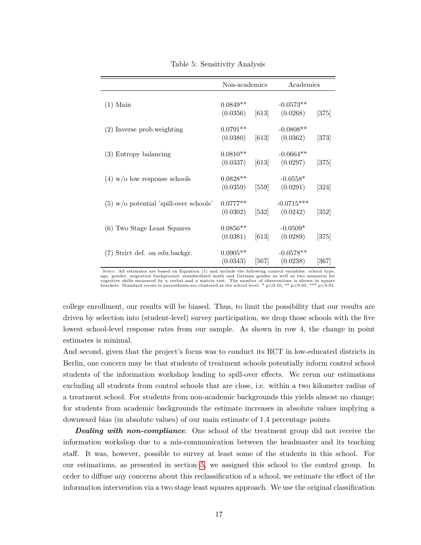<span id="page-17-0"></span>

|                                          | Non-academics                  |                    | Academics                |                    |
|------------------------------------------|--------------------------------|--------------------|--------------------------|--------------------|
| $(1)$ Main                               | $0.0849**$<br>$(0.0356)$ [613] |                    | $-0.0573**$<br>(0.0268)  | [375]              |
| $(2)$ Inverse prob. weighting            | $0.0791**$<br>(0.0380)         | $\left[613\right]$ | $-0.0808**$<br>(0.0362)  | $[373]$            |
| (3) Entropy balancing                    | $0.0810**$<br>(0.0337)         | [613]              | $-0.0664**$<br>(0.0297)  | [375]              |
| $(4)$ w/o low response schools           | $0.0828**$<br>(0.0359)         | [559]              | $-0.0558*$<br>(0.0291)   | $[324]$            |
| $(5)$ w/o potential 'spill-over schools' | $0.0777**$<br>$(0.0302)$ [532] |                    | $-0.0715***$<br>(0.0242) | $\left[352\right]$ |
| (6) Two Stage Least Squares              | $0.0856**$<br>(0.0381)         | [613]              | $-0.0509*$<br>(0.0289)   | [375]              |
| (7) Strict def. on edu.backgr.           | $0.0905**$<br>(0.0343)         | [567]              | $-0.0578**$<br>(0.0238)  | [367]              |

Table 5: Sensitivity Analysis

*Notes:* All estimates are based on Equation (1) and include the following control variables: school type, age, gender, migration background, standardized math and German grades as well as two measures for cognitive skills measured by a verbal and a matrix test. The number of observations is shown in square<br>brackets. Standard errors in parentheses are clustered at the school level. \*  $p<0.10$ , \*\*  $p<0.05$ , \*\*\*  $p<0.01$ .

college enrollment, our results will be biased. Thus, to limit the possibility that our results are driven by selection into (student-level) survey participation, we drop those schools with the five lowest school-level response rates from our sample. As shown in row 4, the change in point estimates is minimal.

And second, given that the project's focus was to conduct its RCT in low-educated districts in Berlin, one concern may be that students of treatment schools potentially inform control school students of the information workshop leading to spill-over effects. We rerun our estimations excluding all students from control schools that are close, i.e. within a two kilometer radius of a treatment school. For students from non-academic backgrounds this yields almost no change; for students from academic backgrounds the estimate increases in absolute values implying a downward bias (in absolute values) of our main estimate of 1.4 percentage points.

**Dealing with non-compliance**. One school of the treatment group did not receive the information workshop due to a mis-communication between the headmaster and its teaching staff. It was, however, possible to survey at least some of the students in this school. For our estimations, as presented in section [5,](#page-11-0) we assigned this school to the control group. In order to diffuse any concerns about this reclassification of a school, we estimate the effect of the information intervention via a two stage least squares approach. We use the original classification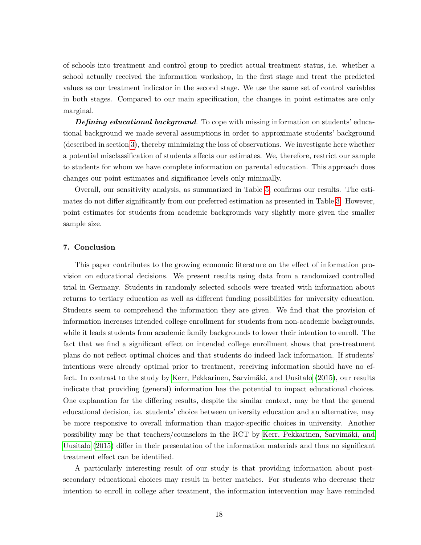of schools into treatment and control group to predict actual treatment status, i.e. whether a school actually received the information workshop, in the first stage and treat the predicted values as our treatment indicator in the second stage. We use the same set of control variables in both stages. Compared to our main specification, the changes in point estimates are only marginal.

**Defining educational background**. To cope with missing information on students' educational background we made several assumptions in order to approximate students' background (described in section [3\)](#page-5-0), thereby minimizing the loss of observations. We investigate here whether a potential misclassification of students affects our estimates. We, therefore, restrict our sample to students for whom we have complete information on parental education. This approach does changes our point estimates and significance levels only minimally.

Overall, our sensitivity analysis, as summarized in Table [5,](#page-17-0) confirms our results. The estimates do not differ significantly from our preferred estimation as presented in Table [3.](#page-13-0) However, point estimates for students from academic backgrounds vary slightly more given the smaller sample size.

## <span id="page-18-0"></span>**7. Conclusion**

This paper contributes to the growing economic literature on the effect of information provision on educational decisions. We present results using data from a randomized controlled trial in Germany. Students in randomly selected schools were treated with information about returns to tertiary education as well as different funding possibilities for university education. Students seem to comprehend the information they are given. We find that the provision of information increases intended college enrollment for students from non-academic backgrounds, while it leads students from academic family backgrounds to lower their intention to enroll. The fact that we find a significant effect on intended college enrollment shows that pre-treatment plans do not reflect optimal choices and that students do indeed lack information. If students' intentions were already optimal prior to treatment, receiving information should have no effect. In contrast to the study by [Kerr, Pekkarinen, Sarvimäki, and Uusitalo](#page-21-4) [\(2015\)](#page-21-4), our results indicate that providing (general) information has the potential to impact educational choices. One explanation for the differing results, despite the similar context, may be that the general educational decision, i.e. students' choice between university education and an alternative, may be more responsive to overall information than major-specific choices in university. Another possibility may be that teachers/counselors in the RCT by [Kerr, Pekkarinen, Sarvimäki, and](#page-21-4) [Uusitalo](#page-21-4) [\(2015\)](#page-21-4) differ in their presentation of the information materials and thus no significant treatment effect can be identified.

A particularly interesting result of our study is that providing information about postsecondary educational choices may result in better matches. For students who decrease their intention to enroll in college after treatment, the information intervention may have reminded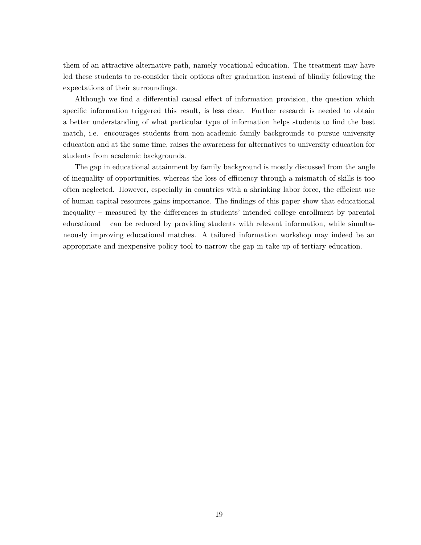them of an attractive alternative path, namely vocational education. The treatment may have led these students to re-consider their options after graduation instead of blindly following the expectations of their surroundings.

Although we find a differential causal effect of information provision, the question which specific information triggered this result, is less clear. Further research is needed to obtain a better understanding of what particular type of information helps students to find the best match, i.e. encourages students from non-academic family backgrounds to pursue university education and at the same time, raises the awareness for alternatives to university education for students from academic backgrounds.

The gap in educational attainment by family background is mostly discussed from the angle of inequality of opportunities, whereas the loss of efficiency through a mismatch of skills is too often neglected. However, especially in countries with a shrinking labor force, the efficient use of human capital resources gains importance. The findings of this paper show that educational inequality – measured by the differences in students' intended college enrollment by parental educational – can be reduced by providing students with relevant information, while simultaneously improving educational matches. A tailored information workshop may indeed be an appropriate and inexpensive policy tool to narrow the gap in take up of tertiary education.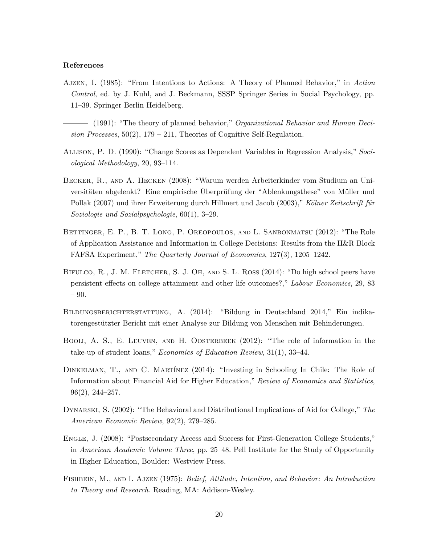#### **References**

- <span id="page-20-6"></span>Ajzen, I. (1985): "From Intentions to Actions: A Theory of Planned Behavior," in *Action Control*, ed. by J. Kuhl, and J. Beckmann, SSSP Springer Series in Social Psychology, pp. 11–39. Springer Berlin Heidelberg.
- <span id="page-20-5"></span>(1991): "The theory of planned behavior," *Organizational Behavior and Human Decision Processes*, 50(2), 179 – 211, Theories of Cognitive Self-Regulation.
- <span id="page-20-10"></span>Allison, P. D. (1990): "Change Scores as Dependent Variables in Regression Analysis," *Sociological Methodology*, 20, 93–114.
- <span id="page-20-9"></span>Becker, R., and A. Hecken (2008): "Warum werden Arbeiterkinder vom Studium an Universitäten abgelenkt? Eine empirische Überprüfung der "Ablenkungsthese" von Müller und Pollak (2007) und ihrer Erweiterung durch Hillmert und Jacob (2003)," *Kölner Zeitschrift für Soziologie und Sozialpsychologie*, 60(1), 3–29.
- <span id="page-20-3"></span>Bettinger, E. P., B. T. Long, P. Oreopoulos, and L. Sanbonmatsu (2012): "The Role of Application Assistance and Information in College Decisions: Results from the H&R Block FAFSA Experiment," *The Quarterly Journal of Economics*, 127(3), 1205–1242.
- <span id="page-20-0"></span>BIFULCO, R., J. M. FLETCHER, S. J. OH, AND S. L. ROSS (2014): "Do high school peers have persistent effects on college attainment and other life outcomes?," *Labour Economics*, 29, 83 – 90.
- <span id="page-20-8"></span>Bildungsberichterstattung, A. (2014): "Bildung in Deutschland 2014," Ein indikatorengestützter Bericht mit einer Analyse zur Bildung von Menschen mit Behinderungen.
- <span id="page-20-2"></span>BOOIJ, A. S., E. LEUVEN, AND H. OOSTERBEEK (2012): "The role of information in the take-up of student loans," *Economics of Education Review*, 31(1), 33–44.
- <span id="page-20-4"></span>Dinkelman, T., and C. Martínez (2014): "Investing in Schooling In Chile: The Role of Information about Financial Aid for Higher Education," *Review of Economics and Statistics*, 96(2), 244–257.
- <span id="page-20-1"></span>Dynarski, S. (2002): "The Behavioral and Distributional Implications of Aid for College," *The American Economic Review*, 92(2), 279–285.
- <span id="page-20-11"></span>Engle, J. (2008): "Postsecondary Access and Success for First-Generation College Students," in *American Academic Volume Three*, pp. 25–48. Pell Institute for the Study of Opportunity in Higher Education, Boulder: Westview Press.
- <span id="page-20-7"></span>Fishbein, M., and I. Ajzen (1975): *Belief, Attitude, Intention, and Behavior: An Introduction to Theory and Research.* Reading, MA: Addison-Wesley.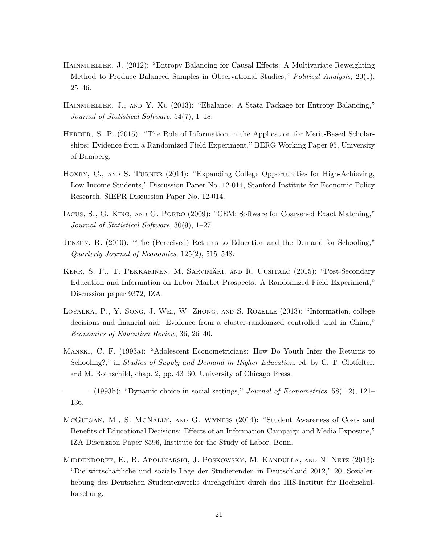- <span id="page-21-10"></span>Hainmueller, J. (2012): "Entropy Balancing for Causal Effects: A Multivariate Reweighting Method to Produce Balanced Samples in Observational Studies," *Political Analysis*, 20(1), 25–46.
- <span id="page-21-11"></span>HAINMUELLER, J., AND Y. XU (2013): "Ebalance: A Stata Package for Entropy Balancing," *Journal of Statistical Software*, 54(7), 1–18.
- <span id="page-21-5"></span>HERBER, S. P. (2015): "The Role of Information in the Application for Merit-Based Scholarships: Evidence from a Randomized Field Experiment," BERG Working Paper 95, University of Bamberg.
- <span id="page-21-6"></span>HOXBY, C., AND S. TURNER (2014): "Expanding College Opportunities for High-Achieving, Low Income Students," Discussion Paper No. 12-014, Stanford Institute for Economic Policy Research, SIEPR Discussion Paper No. 12-014.
- <span id="page-21-9"></span>Iacus, S., G. King, and G. Porro (2009): "CEM: Software for Coarsened Exact Matching," *Journal of Statistical Software*, 30(9), 1–27.
- <span id="page-21-8"></span>Jensen, R. (2010): "The (Perceived) Returns to Education and the Demand for Schooling," *Quarterly Journal of Economics*, 125(2), 515–548.
- <span id="page-21-4"></span>Kerr, S. P., T. Pekkarinen, M. Sarvimäki, and R. Uusitalo (2015): "Post-Secondary Education and Information on Labor Market Prospects: A Randomized Field Experiment," Discussion paper 9372, IZA.
- <span id="page-21-7"></span>Loyalka, P., Y. Song, J. Wei, W. Zhong, and S. Rozelle (2013): "Information, college decisions and financial aid: Evidence from a cluster-randomzed controlled trial in China," *Economics of Education Review*, 36, 26–40.
- <span id="page-21-1"></span>Manski, C. F. (1993a): "Adolescent Econometricians: How Do Youth Infer the Returns to Schooling?," in *Studies of Supply and Demand in Higher Education*, ed. by C. T. Clotfelter, and M. Rothschild, chap. 2, pp. 43–60. University of Chicago Press.
- <span id="page-21-2"></span>(1993b): "Dynamic choice in social settings," *Journal of Econometrics*, 58(1-2), 121– 136.
- <span id="page-21-3"></span>McGuigan, M., S. McNally, and G. Wyness (2014): "Student Awareness of Costs and Benefits of Educational Decisions: Effects of an Information Campaign and Media Exposure," IZA Discussion Paper 8596, Institute for the Study of Labor, Bonn.
- <span id="page-21-0"></span>Middendorff, E., B. Apolinarski, J. Poskowsky, M. Kandulla, and N. Netz (2013): "Die wirtschaftliche und soziale Lage der Studierenden in Deutschland 2012," 20. Sozialerhebung des Deutschen Studentenwerks durchgeführt durch das HIS-Institut für Hochschulforschung.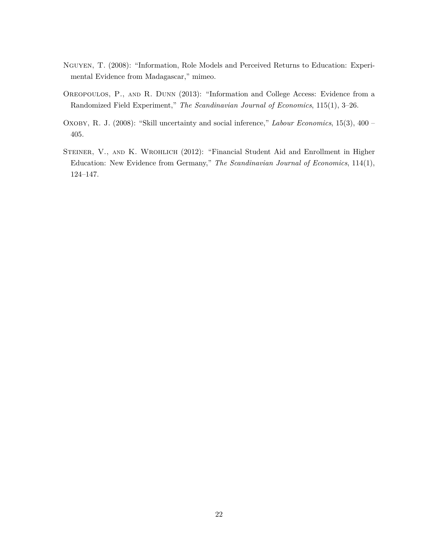- <span id="page-22-3"></span>Nguyen, T. (2008): "Information, Role Models and Perceived Returns to Education: Experimental Evidence from Madagascar," mimeo.
- <span id="page-22-2"></span>Oreopoulos, P., and R. Dunn (2013): "Information and College Access: Evidence from a Randomized Field Experiment," *The Scandinavian Journal of Economics*, 115(1), 3–26.
- <span id="page-22-1"></span>Oxoby, R. J. (2008): "Skill uncertainty and social inference," *Labour Economics*, 15(3), 400 – 405.
- <span id="page-22-0"></span>STEINER, V., AND K. WROHLICH (2012): "Financial Student Aid and Enrollment in Higher Education: New Evidence from Germany," *The Scandinavian Journal of Economics*, 114(1), 124–147.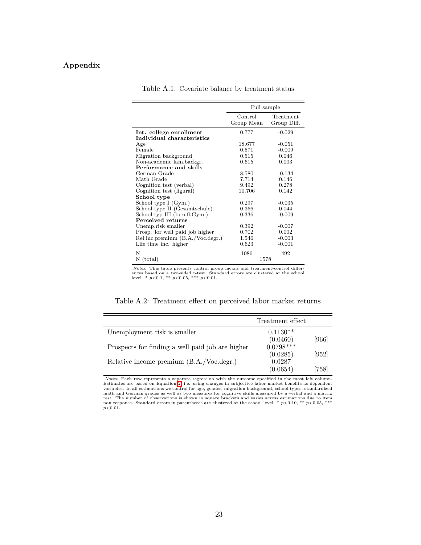## <span id="page-23-1"></span>**Appendix**

|                                  | Full sample           |                          |
|----------------------------------|-----------------------|--------------------------|
|                                  | Control<br>Group Mean | Treatment<br>Group Diff. |
| Int. college enrollment          | 0.777                 | $-0.029$                 |
| Individual characteristics       |                       |                          |
| Age                              | 18.677                | $-0.051$                 |
| Female                           | 0.571                 | $-0.009$                 |
| Migration background             | 0.515                 | 0.046                    |
| Non-academic fam.backgr.         | 0.615                 | 0.003                    |
| Performance and skills           |                       |                          |
| German Grade                     | 8.580                 | $-0.134$                 |
| Math Grade                       | 7.714                 | 0.146                    |
| Cognition test (verbal)          | 9.492                 | 0.278                    |
| Cognition test (figural)         | 10.706                | 0.142                    |
| School type                      |                       |                          |
| School type I (Gym.)             | 0.297                 | $-0.035$                 |
| School type II (Gesamtschule)    | 0.366                 | 0.044                    |
| School typ III (berufl.Gym.)     | 0.336                 | $-0.009$                 |
| Perceived returns                |                       |                          |
| Unemp.risk smaller               | 0.392                 | $-0.007$                 |
| Prosp. for well paid job higher  | 0.702                 | 0.002                    |
| Rel.inc.premium (B.A./Voc.degr.) | 1.546                 | $-0.003$                 |
| Life time inc. higher            | 0.623                 | $-0.001$                 |
| N                                | 1086                  | 492                      |
| (total)<br>Ν                     | 1578                  |                          |

Table A.1: Covariate balance by treatment status

*Notes:* This table presents control group means and treatment-control differences based on a two-sided t-test. Standard errors are clustered at the school level. \* *p*<0.1, \*\* *p*<0.05, \*\*\* *p*<0.01.

Table A.2: Treatment effect on perceived labor market returns

<span id="page-23-0"></span>

|                                                  | Treatment effect                      |       |
|--------------------------------------------------|---------------------------------------|-------|
| Unemployment risk is smaller                     | $0.1130**$                            | [966] |
| Prospects for finding a well paid job are higher | $(0.0460)$<br>$0.0798***$<br>(0.0285) | [952] |
| Relative income premium (B.A./Voc.degr.)         | 0.0287<br>(0.0654)                    | (758) |

*Notes:* Each row represents a separate regression with the outcome specified in the most left column. Estimates are based on Equation [2,](#page-10-2) i.e. using changes in subjective labor market benefits as dependent variables. In all estimations we control for age, gender, migration background, school types, standardized math and German grades as well as two measures for cognitive skills measured by a verbal and a matrix test. The nu  $p < 0.01$ .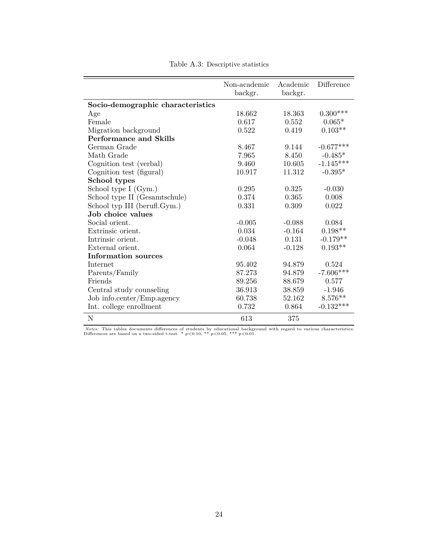<span id="page-24-0"></span>

|                                   | Non-academic<br>backgr. | Academic<br>backgr. | Difference  |
|-----------------------------------|-------------------------|---------------------|-------------|
| Socio-demographic characteristics |                         |                     |             |
| Age                               | 18.662                  | 18.363              | $0.300***$  |
| Female                            | 0.617                   | 0.552               | $0.065*$    |
| Migration background              | 0.522                   | 0.419               | $0.103**$   |
| <b>Performance and Skills</b>     |                         |                     |             |
| German Grade                      | 8.467                   | 9.144               | $-0.677***$ |
| Math Grade                        | 7.965                   | 8.450               | $-0.485*$   |
| Cognition test (verbal)           | 9.460                   | 10.605              | $-1.145***$ |
| Cognition test (figural)          | 10.917                  | 11.312              | $-0.395*$   |
| School types                      |                         |                     |             |
| School type I (Gym.)              | 0.295                   | 0.325               | $-0.030$    |
| School type II (Gesamtschule)     | 0.374                   | 0.365               | 0.008       |
| School typ III (berufl.Gym.)      | 0.331                   | 0.309               | 0.022       |
| Job choice values                 |                         |                     |             |
| Social orient.                    | $-0.005$                | $-0.088$            | 0.084       |
| Extrinsic orient.                 | 0.034                   | $-0.164$            | $0.198**$   |
| Intrinsic orient.                 | $-0.048$                | 0.131               | $-0.179**$  |
| External orient.                  | 0.064                   | $-0.128$            | $0.193**$   |
| Information sources               |                         |                     |             |
| Internet                          | 95.402                  | 94.879              | 0.524       |
| Parents/Family                    | 87.273                  | 94.879              | $-7.606***$ |
| Friends                           | 89.256                  | 88.679              | 0.577       |
| Central study counseling          | 36.913                  | 38.859              | $-1.946$    |
| Job info.center/Emp.agency        | 60.738                  | 52.162              | $8.576**$   |
| Int. college enrollment           | 0.732                   | 0.864               | $-0.132***$ |
| $\mathbf N$                       | 613                     | 375                 |             |

Table A.3: Descriptive statistics

*Notes:* This tables documents differences of students by educational background with regard to various characteristics.<br>Differences are based on a two-sided t-test. \* *p*<0.10, \*\* *p*<0.05, \*\*\* *p*<0.01.